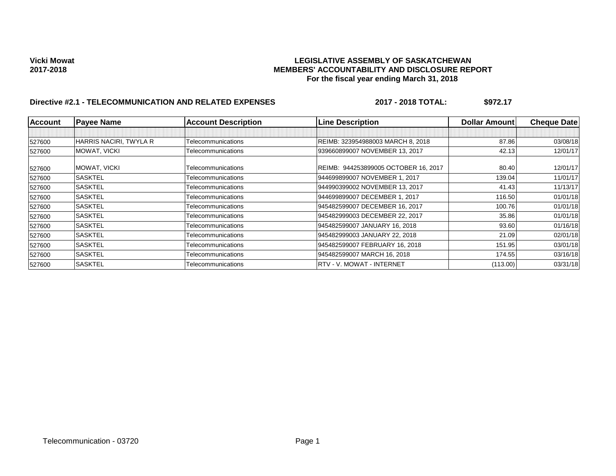## **Vicki Mowat LEGISLATIVE ASSEMBLY OF SASKATCHEWAN 2017-2018 MEMBERS' ACCOUNTABILITY AND DISCLOSURE REPORT For the fiscal year ending March 31, 2018**

# Directive #2.1 - TELECOMMUNICATION AND RELATED EXPENSES 2017 - 2018 TOTAL: \$972.17

| <b>Account</b> | <b>Payee Name</b>      | <b>Account Description</b> | <b>Line Description</b>              | <b>Dollar Amountl</b> | <b>Cheque Date</b> |
|----------------|------------------------|----------------------------|--------------------------------------|-----------------------|--------------------|
|                |                        |                            |                                      |                       |                    |
| 527600         | HARRIS NACIRI, TWYLA R | Telecommunications         | REIMB: 323954988003 MARCH 8, 2018    | 87.86                 | 03/08/18           |
| 527600         | MOWAT, VICKI           | Telecommunications         | 939660899007 NOVEMBER 13, 2017       | 42.13                 | 12/01/17           |
| 527600         | MOWAT, VICKI           | Telecommunications         | REIMB: 944253899005 OCTOBER 16, 2017 | 80.40                 | 12/01/17           |
| 527600         | <b>SASKTEL</b>         | Telecommunications         | 944699899007 NOVEMBER 1, 2017        | 139.04                | 11/01/17           |
| 527600         | <b>SASKTEL</b>         | Telecommunications         | 944990399002 NOVEMBER 13, 2017       | 41.43                 | 11/13/17           |
| 527600         | <b>SASKTEL</b>         | Telecommunications         | 944699899007 DECEMBER 1, 2017        | 116.50                | 01/01/18           |
| 527600         | SASKTEL                | Telecommunications         | 945482599007 DECEMBER 16, 2017       | 100.76                | 01/01/18           |
| 527600         | <b>SASKTEL</b>         | Telecommunications         | 945482999003 DECEMBER 22, 2017       | 35.86                 | 01/01/18           |
| 527600         | <b>SASKTEL</b>         | Telecommunications         | 945482599007 JANUARY 16, 2018        | 93.60                 | 01/16/18           |
| 527600         | <b>SASKTEL</b>         | Telecommunications         | 945482999003 JANUARY 22, 2018        | 21.09                 | 02/01/18           |
| 527600         | SASKTEL                | Telecommunications         | 945482599007 FEBRUARY 16, 2018       | 151.95                | 03/01/18           |
| 527600         | <b>SASKTEL</b>         | Telecommunications         | 945482599007 MARCH 16, 2018          | 174.55                | 03/16/18           |
| 527600         | <b>SASKTEL</b>         | Telecommunications         | RTV - V. MOWAT - INTERNET            | (113.00)              | 03/31/18           |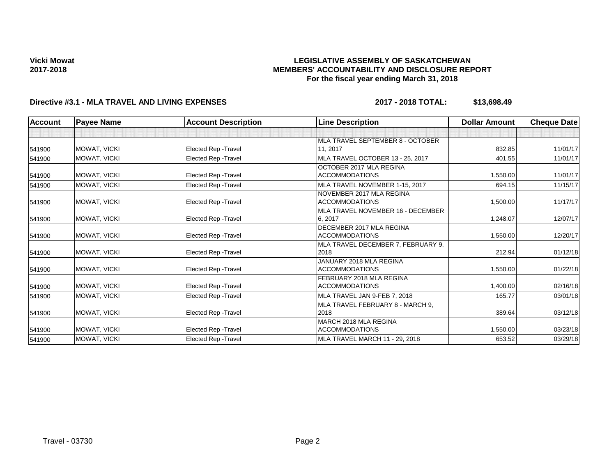## **LEGISLATIVE ASSEMBLY OF SASKATCHEWAN MEMBERS' ACCOUNTABILITY AND DISCLOSURE REPORT For the fiscal year ending March 31, 2018**

# **Directive #3.1 - MLA TRAVEL AND LIVING EXPENSES 2017 - 2018 TOTAL: \$13,698.49**

| <b>Account</b> | <b>Payee Name</b>   | <b>Account Description</b>  | <b>Line Description</b>            | <b>Dollar Amount</b> | <b>Cheque Date</b> |
|----------------|---------------------|-----------------------------|------------------------------------|----------------------|--------------------|
|                |                     |                             |                                    |                      |                    |
|                |                     |                             | MLA TRAVEL SEPTEMBER 8 - OCTOBER   |                      |                    |
| 541900         | MOWAT, VICKI        | <b>Elected Rep - Travel</b> | 11, 2017                           | 832.85               | 11/01/17           |
| 541900         | MOWAT, VICKI        | <b>Elected Rep - Travel</b> | MLA TRAVEL OCTOBER 13 - 25, 2017   | 401.55               | 11/01/17           |
|                |                     |                             | OCTOBER 2017 MLA REGINA            |                      |                    |
| 541900         | MOWAT, VICKI        | <b>Elected Rep - Travel</b> | <b>ACCOMMODATIONS</b>              | 1,550.00             | 11/01/17           |
| 541900         | MOWAT, VICKI        | Elected Rep - Travel        | MLA TRAVEL NOVEMBER 1-15, 2017     | 694.15               | 11/15/17           |
|                |                     |                             | NOVEMBER 2017 MLA REGINA           |                      |                    |
| 541900         | MOWAT, VICKI        | <b>Elected Rep - Travel</b> | <b>ACCOMMODATIONS</b>              | 1,500.00             | 11/17/17           |
|                |                     |                             | MLA TRAVEL NOVEMBER 16 - DECEMBER  |                      |                    |
| 541900         | MOWAT, VICKI        | <b>Elected Rep - Travel</b> | 6.2017                             | 1,248.07             | 12/07/17           |
|                |                     |                             | DECEMBER 2017 MLA REGINA           |                      |                    |
| 541900         | MOWAT, VICKI        | Elected Rep - Travel        | <b>ACCOMMODATIONS</b>              | 1,550.00             | 12/20/17           |
|                |                     |                             | MLA TRAVEL DECEMBER 7, FEBRUARY 9, |                      |                    |
| 541900         | MOWAT, VICKI        | <b>Elected Rep - Travel</b> | 2018                               | 212.94               | 01/12/18           |
|                |                     |                             | JANUARY 2018 MLA REGINA            |                      |                    |
| 541900         | MOWAT, VICKI        | <b>Elected Rep - Travel</b> | <b>ACCOMMODATIONS</b>              | 1,550.00             | 01/22/18           |
|                |                     |                             | FEBRUARY 2018 MLA REGINA           |                      |                    |
| 541900         | MOWAT, VICKI        | Elected Rep - Travel        | <b>ACCOMMODATIONS</b>              | 1,400.00             | 02/16/18           |
| 541900         | <b>MOWAT, VICKI</b> | <b>Elected Rep - Travel</b> | MLA TRAVEL JAN 9-FEB 7, 2018       | 165.77               | 03/01/18           |
|                |                     |                             | MLA TRAVEL FEBRUARY 8 - MARCH 9.   |                      |                    |
| 541900         | MOWAT, VICKI        | Elected Rep - Travel        | 2018                               | 389.64               | 03/12/18           |
|                |                     |                             | MARCH 2018 MLA REGINA              |                      |                    |
| 541900         | <b>MOWAT, VICKI</b> | <b>Elected Rep - Travel</b> | <b>ACCOMMODATIONS</b>              | 1,550.00             | 03/23/18           |
| 541900         | MOWAT, VICKI        | Elected Rep - Travel        | MLA TRAVEL MARCH 11 - 29, 2018     | 653.52               | 03/29/18           |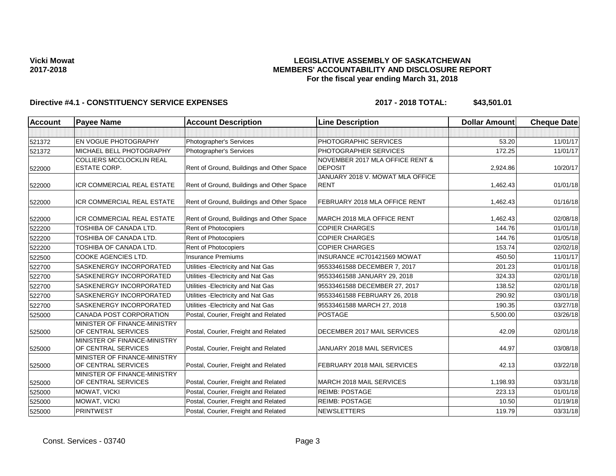## **LEGISLATIVE ASSEMBLY OF SASKATCHEWAN MEMBERS' ACCOUNTABILITY AND DISCLOSURE REPORT For the fiscal year ending March 31, 2018**

| <b>Account</b> | <b>Payee Name</b>                                   | <b>Account Description</b>                | <b>Line Description</b>                         | <b>Dollar Amount</b> | <b>Cheque Date</b> |
|----------------|-----------------------------------------------------|-------------------------------------------|-------------------------------------------------|----------------------|--------------------|
|                |                                                     |                                           |                                                 |                      |                    |
| 521372         | <b>EN VOGUE PHOTOGRAPHY</b>                         | Photographer's Services                   | PHOTOGRAPHIC SERVICES                           | 53.20                | 11/01/17           |
| 521372         | MICHAEL BELL PHOTOGRAPHY                            | Photographer's Services                   | PHOTOGRAPHER SERVICES                           | 172.25               | 11/01/17           |
|                | COLLIERS MCCLOCKLIN REAL                            |                                           | NOVEMBER 2017 MLA OFFICE RENT &                 |                      |                    |
| 522000         | <b>ESTATE CORP.</b>                                 | Rent of Ground, Buildings and Other Space | <b>DEPOSIT</b>                                  | 2,924.86             | 10/20/17           |
| 522000         | <b>ICR COMMERCIAL REAL ESTATE</b>                   | Rent of Ground, Buildings and Other Space | JANUARY 2018 V. MOWAT MLA OFFICE<br><b>RENT</b> | 1,462.43             | 01/01/18           |
| 522000         | ICR COMMERCIAL REAL ESTATE                          | Rent of Ground, Buildings and Other Space | FEBRUARY 2018 MLA OFFICE RENT                   | 1,462.43             | 01/16/18           |
| 522000         | <b>ICR COMMERCIAL REAL ESTATE</b>                   | Rent of Ground, Buildings and Other Space | MARCH 2018 MLA OFFICE RENT                      | 1,462.43             | 02/08/18           |
| 522200         | TOSHIBA OF CANADA LTD.                              | Rent of Photocopiers                      | <b>COPIER CHARGES</b>                           | 144.76               | 01/01/18           |
| 522200         | TOSHIBA OF CANADA LTD.                              | <b>Rent of Photocopiers</b>               | <b>COPIER CHARGES</b>                           | 144.76               | 01/05/18           |
| 522200         | TOSHIBA OF CANADA LTD.                              | <b>Rent of Photocopiers</b>               | <b>COPIER CHARGES</b>                           | 153.74               | 02/02/18           |
| 522500         | <b>COOKE AGENCIES LTD.</b>                          | <b>Insurance Premiums</b>                 | INSURANCE #C701421569 MOWAT                     | 450.50               | 11/01/17           |
| 522700         | SASKENERGY INCORPORATED                             | Utilities - Electricity and Nat Gas       | 95533461588 DECEMBER 7, 2017                    | 201.23               | 01/01/18           |
| 522700         | SASKENERGY INCORPORATED                             | Utilities - Electricity and Nat Gas       | 95533461588 JANUARY 29, 2018                    | 324.33               | 02/01/18           |
| 522700         | <b>SASKENERGY INCORPORATED</b>                      | Utilities - Electricity and Nat Gas       | 95533461588 DECEMBER 27, 2017                   | 138.52               | 02/01/18           |
| 522700         | <b>SASKENERGY INCORPORATED</b>                      | Utilities - Electricity and Nat Gas       | 95533461588 FEBRUARY 26, 2018                   | 290.92               | 03/01/18           |
| 522700         | SASKENERGY INCORPORATED                             | Utilities - Electricity and Nat Gas       | 95533461588 MARCH 27, 2018                      | 190.35               | 03/27/18           |
| 525000         | CANADA POST CORPORATION                             | Postal, Courier, Freight and Related      | <b>POSTAGE</b>                                  | 5,500.00             | 03/26/18           |
| 525000         | MINISTER OF FINANCE-MINISTRY<br>OF CENTRAL SERVICES | Postal, Courier, Freight and Related      | DECEMBER 2017 MAIL SERVICES                     | 42.09                | 02/01/18           |
| 525000         | MINISTER OF FINANCE-MINISTRY<br>OF CENTRAL SERVICES | Postal, Courier, Freight and Related      | JANUARY 2018 MAIL SERVICES                      | 44.97                | 03/08/18           |
| 525000         | MINISTER OF FINANCE-MINISTRY<br>OF CENTRAL SERVICES | Postal, Courier, Freight and Related      | FEBRUARY 2018 MAIL SERVICES                     | 42.13                | 03/22/18           |
| 525000         | MINISTER OF FINANCE-MINISTRY<br>OF CENTRAL SERVICES | Postal, Courier, Freight and Related      | MARCH 2018 MAIL SERVICES                        | 1,198.93             | 03/31/18           |
| 525000         | MOWAT, VICKI                                        | Postal, Courier, Freight and Related      | <b>REIMB: POSTAGE</b>                           | 223.13               | 01/01/18           |
| 525000         | MOWAT, VICKI                                        | Postal, Courier, Freight and Related      | <b>REIMB: POSTAGE</b>                           | 10.50                | 01/19/18           |
| 525000         | <b>PRINTWEST</b>                                    | Postal, Courier, Freight and Related      | <b>NEWSLETTERS</b>                              | 119.79               | 03/31/18           |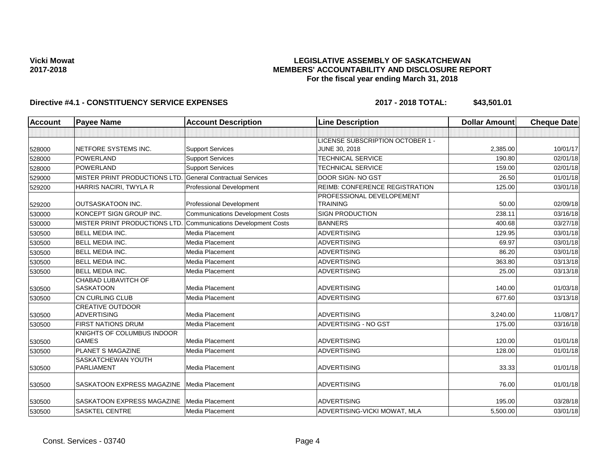### **LEGISLATIVE ASSEMBLY OF SASKATCHEWAN MEMBERS' ACCOUNTABILITY AND DISCLOSURE REPORT For the fiscal year ending March 31, 2018**

| Account | <b>Payee Name</b>                          | <b>Account Description</b>              | <b>Line Description</b>                      | <b>Dollar Amount</b> | <b>Cheque Date</b> |
|---------|--------------------------------------------|-----------------------------------------|----------------------------------------------|----------------------|--------------------|
|         |                                            |                                         |                                              |                      |                    |
|         |                                            |                                         | LICENSE SUBSCRIPTION OCTOBER 1 -             |                      |                    |
| 528000  | NETFORE SYSTEMS INC.                       | <b>Support Services</b>                 | JUNE 30, 2018                                | 2,385.00             | 10/01/17           |
| 528000  | POWERLAND                                  | <b>Support Services</b>                 | <b>TECHNICAL SERVICE</b>                     | 190.80               | 02/01/18           |
| 528000  | <b>POWERLAND</b>                           | <b>Support Services</b>                 | <b>TECHNICAL SERVICE</b>                     | 159.00               | 02/01/18           |
| 529000  | MISTER PRINT PRODUCTIONS LTD.              | <b>General Contractual Services</b>     | DOOR SIGN- NO GST                            | 26.50                | 01/01/18           |
| 529200  | HARRIS NACIRI, TWYLA R                     | Professional Development                | REIMB: CONFERENCE REGISTRATION               | 125.00               | 03/01/18           |
| 529200  | <b>OUTSASKATOON INC.</b>                   | <b>Professional Development</b>         | PROFESSIONAL DEVELOPEMENT<br><b>TRAINING</b> | 50.00                | 02/09/18           |
| 530000  | KONCEPT SIGN GROUP INC.                    | <b>Communications Development Costs</b> | <b>SIGN PRODUCTION</b>                       | 238.11               | 03/16/18           |
| 530000  | MISTER PRINT PRODUCTIONS LTD.              | <b>Communications Development Costs</b> | <b>BANNERS</b>                               | 400.68               | 03/27/18           |
| 530500  | <b>BELL MEDIA INC.</b>                     | Media Placement                         | <b>ADVERTISING</b>                           | 129.95               | 03/01/18           |
| 530500  | <b>BELL MEDIA INC.</b>                     | Media Placement                         | <b>ADVERTISING</b>                           | 69.97                | 03/01/18           |
| 530500  | <b>BELL MEDIA INC.</b>                     | Media Placement                         | <b>ADVERTISING</b>                           | 86.20                | 03/01/18           |
| 530500  | <b>BELL MEDIA INC.</b>                     | Media Placement                         | <b>ADVERTISING</b>                           | 363.80               | 03/13/18           |
| 530500  | <b>BELL MEDIA INC.</b>                     | Media Placement                         | <b>ADVERTISING</b>                           | 25.00                | 03/13/18           |
|         | CHABAD LUBAVITCH OF                        |                                         |                                              |                      |                    |
| 530500  | <b>SASKATOON</b>                           | Media Placement                         | <b>ADVERTISING</b>                           | 140.00               | 01/03/18           |
| 530500  | <b>CN CURLING CLUB</b>                     | Media Placement                         | <b>ADVERTISING</b>                           | 677.60               | 03/13/18           |
|         | <b>CREATIVE OUTDOOR</b>                    |                                         |                                              |                      |                    |
| 530500  | <b>ADVERTISING</b>                         | Media Placement                         | <b>ADVERTISING</b>                           | 3,240.00             | 11/08/17           |
| 530500  | <b>FIRST NATIONS DRUM</b>                  | Media Placement                         | ADVERTISING - NO GST                         | 175.00               | 03/16/18           |
| 530500  | KNIGHTS OF COLUMBUS INDOOR<br><b>GAMES</b> | Media Placement                         | <b>ADVERTISING</b>                           | 120.00               | 01/01/18           |
| 530500  | <b>PLANET S MAGAZINE</b>                   | Media Placement                         | <b>ADVERTISING</b>                           | 128.00               | 01/01/18           |
|         | SASKATCHEWAN YOUTH                         |                                         |                                              |                      |                    |
| 530500  | <b>PARLIAMENT</b>                          | Media Placement                         | <b>ADVERTISING</b>                           | 33.33                | 01/01/18           |
| 530500  | SASKATOON EXPRESS MAGAZINE                 | Media Placement                         | <b>ADVERTISING</b>                           | 76.00                | 01/01/18           |
| 530500  | SASKATOON EXPRESS MAGAZINE                 | Media Placement                         | <b>ADVERTISING</b>                           | 195.00               | 03/28/18           |
| 530500  | <b>SASKTEL CENTRE</b>                      | Media Placement                         | ADVERTISING-VICKI MOWAT, MLA                 | 5,500.00             | 03/01/18           |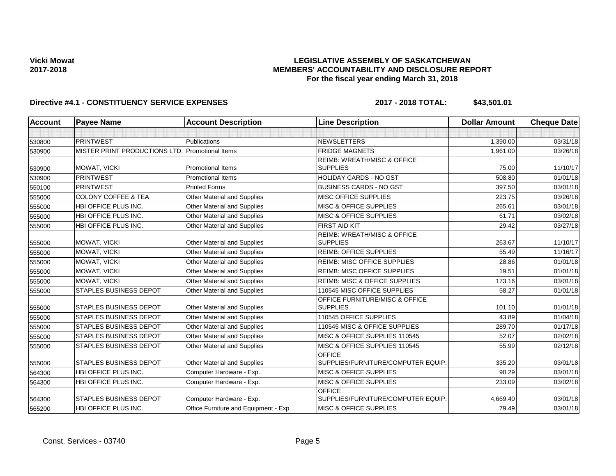## **LEGISLATIVE ASSEMBLY OF SASKATCHEWAN MEMBERS' ACCOUNTABILITY AND DISCLOSURE REPORT For the fiscal year ending March 31, 2018**

| <b>Account</b> | <b>Payee Name</b>              | <b>Account Description</b>           | <b>Line Description</b>                             | <b>Dollar Amount</b> | <b>Cheque Date</b> |
|----------------|--------------------------------|--------------------------------------|-----------------------------------------------------|----------------------|--------------------|
|                |                                |                                      |                                                     |                      |                    |
| 530800         | PRINTWEST                      | Publications                         | <b>NEWSLETTERS</b>                                  | 1,390.00             | 03/31/18           |
| 530900         | MISTER PRINT PRODUCTIONS LTD.  | Promotional Items                    | <b>FRIDGE MAGNETS</b>                               | 1.961.00             | 03/26/18           |
|                |                                |                                      | <b>REIMB: WREATH/MISC &amp; OFFICE</b>              |                      |                    |
| 530900         | MOWAT, VICKI                   | <b>Promotional Items</b>             | <b>SUPPLIES</b>                                     | 75.00                | 11/10/17           |
| 530900         | PRINTWEST                      | <b>Promotional Items</b>             | HOLIDAY CARDS - NO GST                              | 508.80               | 01/01/18           |
| 550100         | <b>PRINTWEST</b>               | <b>Printed Forms</b>                 | <b>BUSINESS CARDS - NO GST</b>                      | 397.50               | 03/01/18           |
| 555000         | <b>COLONY COFFEE &amp; TEA</b> | <b>Other Material and Supplies</b>   | MISC OFFICE SUPPLIES                                | 223.75               | 03/26/18           |
| 555000         | HBI OFFICE PLUS INC.           | Other Material and Supplies          | <b>MISC &amp; OFFICE SUPPLIES</b>                   | 265.61               | 03/01/18           |
| 555000         | HBI OFFICE PLUS INC.           | Other Material and Supplies          | <b>MISC &amp; OFFICE SUPPLIES</b>                   | 61.71                | 03/02/18           |
| 555000         | HBI OFFICE PLUS INC.           | Other Material and Supplies          | <b>FIRST AID KIT</b>                                | 29.42                | 03/27/18           |
|                |                                |                                      | REIMB: WREATH/MISC & OFFICE                         |                      |                    |
| 555000         | MOWAT, VICKI                   | Other Material and Supplies          | <b>SUPPLIES</b>                                     | 263.67               | 11/10/17           |
| 555000         | MOWAT, VICKI                   | <b>Other Material and Supplies</b>   | <b>REIMB: OFFICE SUPPLIES</b>                       | 55.49                | 11/16/17           |
| 555000         | MOWAT, VICKI                   | Other Material and Supplies          | <b>REIMB: MISC OFFICE SUPPLIES</b>                  | 28.86                | 01/01/18           |
| 555000         | MOWAT, VICKI                   | <b>Other Material and Supplies</b>   | <b>REIMB: MISC OFFICE SUPPLIES</b>                  | 19.51                | 01/01/18           |
| 555000         | MOWAT, VICKI                   | Other Material and Supplies          | <b>REIMB: MISC &amp; OFFICE SUPPLIES</b>            | 173.16               | 03/01/18           |
| 555000         | <b>STAPLES BUSINESS DEPOT</b>  | Other Material and Supplies          | 110545 MISC OFFICE SUPPLIES                         | 58.27                | 01/01/18           |
| 555000         | <b>STAPLES BUSINESS DEPOT</b>  | Other Material and Supplies          | OFFICE FURNITURE/MISC & OFFICE<br><b>SUPPLIES</b>   | 101.10               | 01/01/18           |
| 555000         | <b>STAPLES BUSINESS DEPOT</b>  | Other Material and Supplies          | 110545 OFFICE SUPPLIES                              | 43.89                | 01/04/18           |
| 555000         | <b>STAPLES BUSINESS DEPOT</b>  | Other Material and Supplies          | 110545 MISC & OFFICE SUPPLIES                       | 289.70               | 01/17/18           |
| 555000         | <b>STAPLES BUSINESS DEPOT</b>  | Other Material and Supplies          | MISC & OFFICE SUPPLIES 110545                       | 52.07                | 02/02/18           |
|                | <b>STAPLES BUSINESS DEPOT</b>  | Other Material and Supplies          | MISC & OFFICE SUPPLIES 110545                       | 55.99                | 02/12/18           |
| 555000         |                                |                                      | <b>OFFICE</b>                                       |                      |                    |
| 555000         | <b>STAPLES BUSINESS DEPOT</b>  | Other Material and Supplies          | SUPPLIES/FURNITURE/COMPUTER EQUIP.                  | 335.20               | 03/01/18           |
| 564300         | HBI OFFICE PLUS INC.           | Computer Hardware - Exp.             | MISC & OFFICE SUPPLIES                              | 90.29                | 03/01/18           |
| 564300         | HBI OFFICE PLUS INC.           | Computer Hardware - Exp.             | MISC & OFFICE SUPPLIES                              | 233.09               | 03/02/18           |
| 564300         | <b>STAPLES BUSINESS DEPOT</b>  | Computer Hardware - Exp.             | <b>OFFICE</b><br>SUPPLIES/FURNITURE/COMPUTER EQUIP. | 4,669.40             | 03/01/18           |
| 565200         | HBI OFFICE PLUS INC.           | Office Furniture and Equipment - Exp | <b>MISC &amp; OFFICE SUPPLIES</b>                   | 79.49                | 03/01/18           |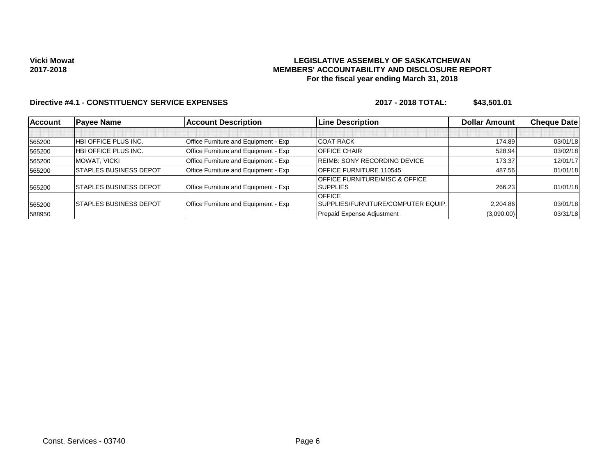## **LEGISLATIVE ASSEMBLY OF SASKATCHEWAN MEMBERS' ACCOUNTABILITY AND DISCLOSURE REPORT For the fiscal year ending March 31, 2018**

| <b>Account</b> | <b>Payee Name</b>             | <b>Account Description</b>           | <b>Line Description</b>                   | Dollar Amount | <b>Cheque Datel</b> |
|----------------|-------------------------------|--------------------------------------|-------------------------------------------|---------------|---------------------|
|                |                               |                                      |                                           |               |                     |
| 565200         | HBI OFFICE PLUS INC.          | Office Furniture and Equipment - Exp | <b>COAT RACK</b>                          | 174.89        | 03/01/18            |
| 565200         | HBI OFFICE PLUS INC.          | Office Furniture and Equipment - Exp | <b>OFFICE CHAIR</b>                       | 528.94        | 03/02/18            |
| 565200         | MOWAT. VICKI                  | Office Furniture and Equipment - Exp | <b>REIMB: SONY RECORDING DEVICE</b>       | 173.37        | 12/01/17            |
| 565200         | <b>STAPLES BUSINESS DEPOT</b> | Office Furniture and Equipment - Exp | <b>OFFICE FURNITURE 110545</b>            | 487.56        | 01/01/18            |
|                |                               |                                      | <b>OFFICE FURNITURE/MISC &amp; OFFICE</b> |               |                     |
| 565200         | <b>STAPLES BUSINESS DEPOT</b> | Office Furniture and Equipment - Exp | <b>SUPPLIES</b>                           | 266.23        | 01/01/18            |
|                |                               |                                      | <b>OFFICE</b>                             |               |                     |
| 565200         | <b>STAPLES BUSINESS DEPOT</b> | Office Furniture and Equipment - Exp | SUPPLIES/FURNITURE/COMPUTER EQUIP.        | 2.204.86      | 03/01/18            |
| 588950         |                               |                                      | Prepaid Expense Adjustment                | (3,090.00)    | 03/31/18            |